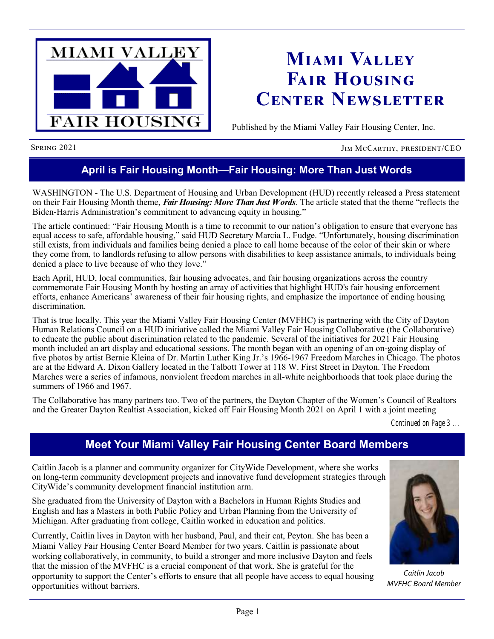

## **Miami Valley Fair Housing Center Newsletter**

Published by the Miami Valley Fair Housing Center, Inc.

Spring 2021 JIM McCarthy, president/CEO

## **April is Fair Housing Month—Fair Housing: More Than Just Words**

WASHINGTON - The U.S. Department of Housing and Urban Development (HUD) recently released a Press statement on their Fair Housing Month theme, *Fair Housing: More Than Just Words*. The article stated that the theme "reflects the Biden-Harris Administration's commitment to advancing equity in housing."

The article continued: "Fair Housing Month is a time to recommit to our nation's obligation to ensure that everyone has equal access to safe, affordable housing," said HUD Secretary Marcia L. Fudge. "Unfortunately, housing discrimination still exists, from individuals and families being denied a place to call home because of the color of their skin or where they come from, to landlords refusing to allow persons with disabilities to keep assistance animals, to individuals being denied a place to live because of who they love."

Each April, HUD, local communities, fair housing advocates, and fair housing organizations across the country commemorate Fair Housing Month by hosting an array of activities that highlight HUD's fair housing enforcement efforts, enhance Americans' awareness of their fair housing rights, and emphasize the importance of ending housing discrimination.

That is true locally. This year the Miami Valley Fair Housing Center (MVFHC) is partnering with the City of Dayton Human Relations Council on a HUD initiative called the Miami Valley Fair Housing Collaborative (the Collaborative) to educate the public about discrimination related to the pandemic. Several of the initiatives for 2021 Fair Housing month included an art display and educational sessions. The month began with an opening of an on-going display of five photos by artist Bernie Kleina of Dr. Martin Luther King Jr.'s 1966-1967 Freedom Marches in Chicago. The photos are at the Edward A. Dixon Gallery located in the Talbott Tower at 118 W. First Street in Dayton. The Freedom Marches were a series of infamous, nonviolent freedom marches in all-white neighborhoods that took place during the summers of 1966 and 1967.

The Collaborative has many partners too. Two of the partners, the Dayton Chapter of the Women's Council of Realtors and the Greater Dayton Realtist Association, kicked off Fair Housing Month 2021 on April 1 with a joint meeting

*Continued on Page 3 ...*

## **Meet Your Miami Valley Fair Housing Center Board Members**

Caitlin Jacob is a planner and community organizer for CityWide Development, where she works on long-term community development projects and innovative fund development strategies through CityWide's community development financial institution arm.

She graduated from the University of Dayton with a Bachelors in Human Rights Studies and English and has a Masters in both Public Policy and Urban Planning from the University of Michigan. After graduating from college, Caitlin worked in education and politics.

Currently, Caitlin lives in Dayton with her husband, Paul, and their cat, Peyton. She has been a Miami Valley Fair Housing Center Board Member for two years. Caitlin is passionate about working collaboratively, in community, to build a stronger and more inclusive Dayton and feels that the mission of the MVFHC is a crucial component of that work. She is grateful for the opportunity to support the Center's efforts to ensure that all people have access to equal housing opportunities without barriers.



*Caitlin Jacob MVFHC Board Member*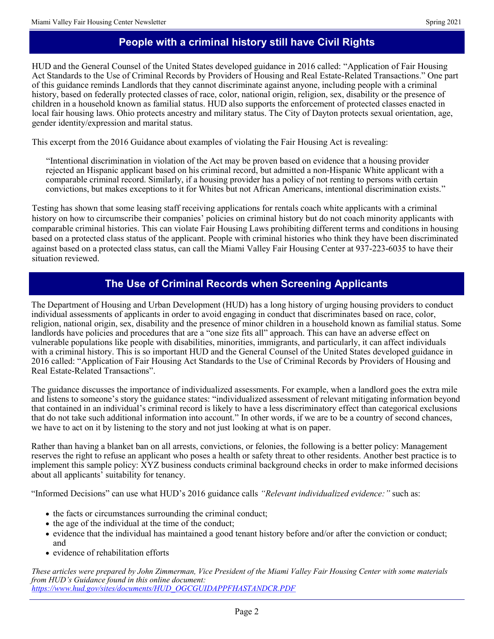## **People with a criminal history still have Civil Rights**

HUD and the General Counsel of the United States developed guidance in 2016 called: "Application of Fair Housing Act Standards to the Use of Criminal Records by Providers of Housing and Real Estate-Related Transactions." One part of this guidance reminds Landlords that they cannot discriminate against anyone, including people with a criminal history, based on federally protected classes of race, color, national origin, religion, sex, disability or the presence of children in a household known as familial status. HUD also supports the enforcement of protected classes enacted in local fair housing laws. Ohio protects ancestry and military status. The City of Dayton protects sexual orientation, age, gender identity/expression and marital status.

This excerpt from the 2016 Guidance about examples of violating the Fair Housing Act is revealing:

"Intentional discrimination in violation of the Act may be proven based on evidence that a housing provider rejected an Hispanic applicant based on his criminal record, but admitted a non-Hispanic White applicant with a comparable criminal record. Similarly, if a housing provider has a policy of not renting to persons with certain convictions, but makes exceptions to it for Whites but not African Americans, intentional discrimination exists."

Testing has shown that some leasing staff receiving applications for rentals coach white applicants with a criminal history on how to circumscribe their companies' policies on criminal history but do not coach minority applicants with comparable criminal histories. This can violate Fair Housing Laws prohibiting different terms and conditions in housing based on a protected class status of the applicant. People with criminal histories who think they have been discriminated against based on a protected class status, can call the Miami Valley Fair Housing Center at 937-223-6035 to have their situation reviewed.

### **The Use of Criminal Records when Screening Applicants**

The Department of Housing and Urban Development (HUD) has a long history of urging housing providers to conduct individual assessments of applicants in order to avoid engaging in conduct that discriminates based on race, color, religion, national origin, sex, disability and the presence of minor children in a household known as familial status. Some landlords have policies and procedures that are a "one size fits all" approach. This can have an adverse effect on vulnerable populations like people with disabilities, minorities, immigrants, and particularly, it can affect individuals with a criminal history. This is so important HUD and the General Counsel of the United States developed guidance in 2016 called: "Application of Fair Housing Act Standards to the Use of Criminal Records by Providers of Housing and Real Estate-Related Transactions".

The guidance discusses the importance of individualized assessments. For example, when a landlord goes the extra mile and listens to someone's story the guidance states: "individualized assessment of relevant mitigating information beyond that contained in an individual's criminal record is likely to have a less discriminatory effect than categorical exclusions that do not take such additional information into account." In other words, if we are to be a country of second chances, we have to act on it by listening to the story and not just looking at what is on paper.

Rather than having a blanket ban on all arrests, convictions, or felonies, the following is a better policy: Management reserves the right to refuse an applicant who poses a health or safety threat to other residents. Another best practice is to implement this sample policy: XYZ business conducts criminal background checks in order to make informed decisions about all applicants' suitability for tenancy.

"Informed Decisions" can use what HUD's 2016 guidance calls *"Relevant individualized evidence:"* such as:

- the facts or circumstances surrounding the criminal conduct;
- the age of the individual at the time of the conduct;
- evidence that the individual has maintained a good tenant history before and/or after the conviction or conduct; and
- evidence of rehabilitation efforts

*These articles were prepared by John Zimmerman, Vice President of the Miami Valley Fair Housing Center with some materials from HUD's Guidance found in this online document: [https://www.hud.gov/sites/documents/HUD\\_OGCGUIDAPPFHASTANDCR.PDF](https://www.hud.gov/sites/documents/HUD_OGCGUIDAPPFHASTANDCR.PDF)*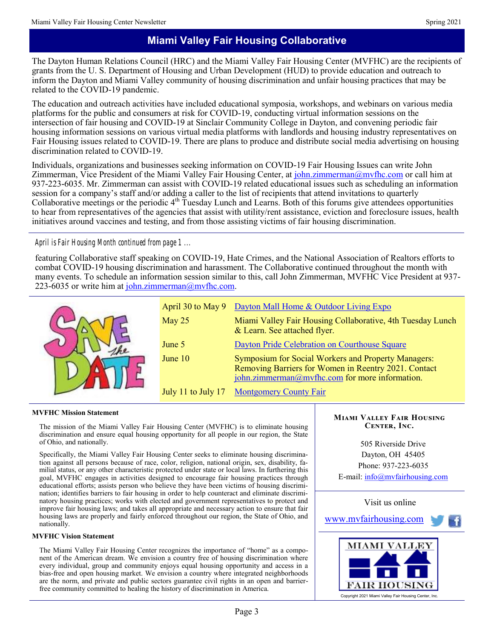## **Miami Valley Fair Housing Collaborative**

The Dayton Human Relations Council (HRC) and the Miami Valley Fair Housing Center (MVFHC) are the recipients of grants from the U. S. Department of Housing and Urban Development (HUD) to provide education and outreach to inform the Dayton and Miami Valley community of housing discrimination and unfair housing practices that may be related to the COVID-19 pandemic.

The education and outreach activities have included educational symposia, workshops, and webinars on various media platforms for the public and consumers at risk for COVID-19, conducting virtual information sessions on the intersection of fair housing and COVID-19 at Sinclair Community College in Dayton, and convening periodic fair housing information sessions on various virtual media platforms with landlords and housing industry representatives on Fair Housing issues related to COVID-19. There are plans to produce and distribute social media advertising on housing discrimination related to COVID-19.

Individuals, organizations and businesses seeking information on COVID-19 Fair Housing Issues can write John Zimmerman, Vice President of the Miami Valley Fair Housing Center, at [john.zimmerman@mvfhc.com](mailto:john.zimmerman@mvfhc.com) or call him at 937-223-6035. Mr. Zimmerman can assist with COVID-19 related educational issues such as scheduling an information session for a company's staff and/or adding a caller to the list of recipients that attend invitations to quarterly Collaborative meetings or the periodic  $4<sup>th</sup>$  Tuesday Lunch and Learns. Both of this forums give attendees opportunities to hear from representatives of the agencies that assist with utility/rent assistance, eviction and foreclosure issues, health initiatives around vaccines and testing, and from those assisting victims of fair housing discrimination.

#### *April is Fair Housing Month continued from page 1 ...*

featuring Collaborative staff speaking on COVID-19, Hate Crimes, and the National Association of Realtors efforts to combat COVID-19 housing discrimination and harassment. The Collaborative continued throughout the month with many events. To schedule an information session similar to this, call John Zimmerman, MVFHC Vice President at 937- 223-6035 or write him at  $\frac{\text{io}}{\text{h}}$  zimmerman $\omega$ mvfhc.com.

|                    | April 30 to May 9 Dayton Mall Home & Outdoor Living Expo                                                                                                             |
|--------------------|----------------------------------------------------------------------------------------------------------------------------------------------------------------------|
| May 25             | Miami Valley Fair Housing Collaborative, 4th Tuesday Lunch<br>& Learn. See attached flyer.                                                                           |
| June 5             | Dayton Pride Celebration on Courthouse Square                                                                                                                        |
| June 10            | <b>Symposium for Social Workers and Property Managers:</b><br>Removing Barriers for Women in Reentry 2021. Contact<br>john.zimmerman@mvfhc.com for more information. |
| July 11 to July 17 | <b>Montgomery County Fair</b>                                                                                                                                        |

#### **MVFHC Mission Statement**

The mission of the Miami Valley Fair Housing Center (MVFHC) is to eliminate housing discrimination and ensure equal housing opportunity for all people in our region, the State of Ohio, and nationally.

Specifically, the Miami Valley Fair Housing Center seeks to eliminate housing discrimination against all persons because of race, color, religion, national origin, sex, disability, familial status, or any other characteristic protected under state or local laws. In furthering this goal, MVFHC engages in activities designed to encourage fair housing practices through educational efforts; assists person who believe they have been victims of housing discrimination; identifies barriers to fair housing in order to help counteract and eliminate discriminatory housing practices; works with elected and government representatives to protect and improve fair housing laws; and takes all appropriate and necessary action to ensure that fair housing laws are properly and fairly enforced throughout our region, the State of Ohio, and nationally.

#### **MVFHC Vision Statement**

The Miami Valley Fair Housing Center recognizes the importance of "home" as a component of the American dream. We envision a country free of housing discrimination where every individual, group and community enjoys equal housing opportunity and access in a bias-free and open housing market. We envision a country where integrated neighborhoods are the norm, and private and public sectors guarantee civil rights in an open and barrierfree community committed to healing the history of discrimination in America.

#### **Miami Valley Fair Housing Center, Inc.**

505 Riverside Drive Dayton, OH 45405 Phone: 937-223-6035 E-mail: [info@mvfairhousing.com](mailto:info@mvfairhousing.com)



[www.mvfairhousing.com](http://www.mvfairhousing.com/)